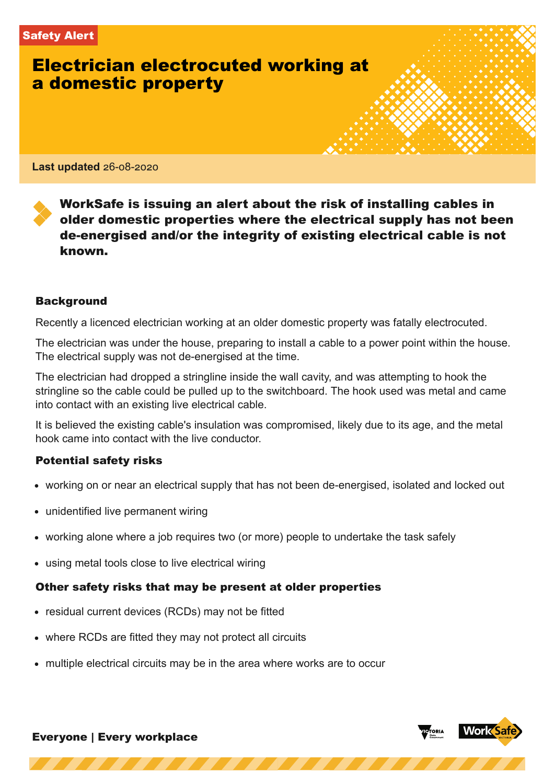# Electrician electrocuted working at a domestic property

**Last updated** 26-08-2020

WorkSafe is issuing an alert about the risk of installing cables in older domestic properties where the electrical supply has not been de-energised and/or the integrity of existing electrical cable is not known.

#### Background

Recently a licenced electrician working at an older domestic property was fatally electrocuted.

The electrician was under the house, preparing to install a cable to a power point within the house. The electrical supply was not de-energised at the time.

The electrician had dropped a stringline inside the wall cavity, and was attempting to hook the stringline so the cable could be pulled up to the switchboard. The hook used was metal and came into contact with an existing live electrical cable.

It is believed the existing cable's insulation was compromised, likely due to its age, and the metal hook came into contact with the live conductor.

### Potential safety risks

• working on or near an electrical supply that has not been de-energised, isolated and locked out

https://www.worksafe.vic.gov.au/pdf/safety-alerts/electrician-electrocuted-working-domestic-property 1/3

- unidentified live permanent wiring
- working alone where a job requires two (or more) people to undertake the task safely
- using metal tools close to live electrical wiring

# Other safety risks that may be present at older properties

- residual current devices (RCDs) may not be fitted
- where RCDs are fitted they may not protect all circuits
- multiple electrical circuits may be in the area where works are to occur



Everyone | Every workplace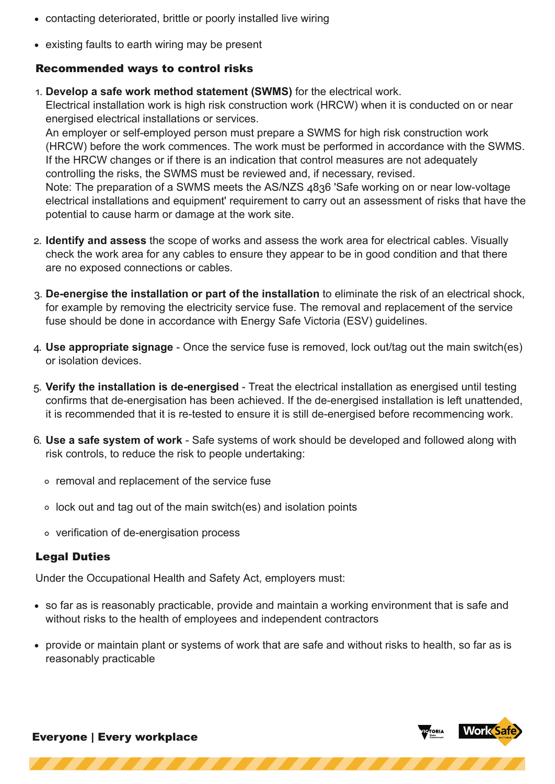- contacting deteriorated, brittle or poorly installed live wiring
	- existing faults to earth wiring may be present

## Recommended ways to control risks

. **Develop a safe work method statement (SWMS)** for the electrical work.

Electrical installation work is high risk construction work (HRCW) when it is conducted on or near energised electrical installations or services.

An employer or self-employed person must prepare a SWMS for high risk construction work (HRCW) before the work commences. The work must be performed in accordance with the SWMS. If the HRCW changes or if there is an indication that control measures are not adequately controlling the risks, the SWMS must be reviewed and, if necessary, revised.

Note: The preparation of a SWMS meets the AS/NZS 4836 'Safe working on or near low-voltage electrical installations and equipment' requirement to carry out an assessment of risks that have the potential to cause harm or damage at the work site.

- . **Identify and assess** the scope of works and assess the work area for electrical cables. Visually check the work area for any cables to ensure they appear to be in good condition and that there are no exposed connections or cables.
- . **De-energise the installation or part of the installation** to eliminate the risk of an electrical shock, for example by removing the electricity service fuse. The removal and replacement of the service fuse should be done in accordance with Energy Safe Victoria (ESV) guidelines.
- . **Use appropriate signage** Once the service fuse is removed, lock out/tag out the main switch(es) or isolation devices.
- . **Verify the installation is de-energised** Treat the electrical installation as energised until testing confirms that de-energisation has been achieved. If the de-energised installation is left unattended, it is recommended that it is re-tested to ensure it is still de-energised before recommencing work.
- . **Use a safe system of work** Safe systems of work should be developed and followed along with risk controls, to reduce the risk to people undertaking:
	- o removal and replacement of the service fuse
	- $\circ$  lock out and tag out of the main switch(es) and isolation points
	- verification of de-energisation process

# Legal Duties

Under the Occupational Health and Safety Act, employers must:

- so far as is reasonably practicable, provide and maintain a working environment that is safe and without risks to the health of employees and independent contractors
- provide or maintain plant or systems of work that are safe and without risks to health, so far as is reasonably practicable

https://www.worksafe.vic.gov.au/pdf/safety-alerts/electrician-electrocuted-working-domestic-property 2/3



Everyone | Every workplace